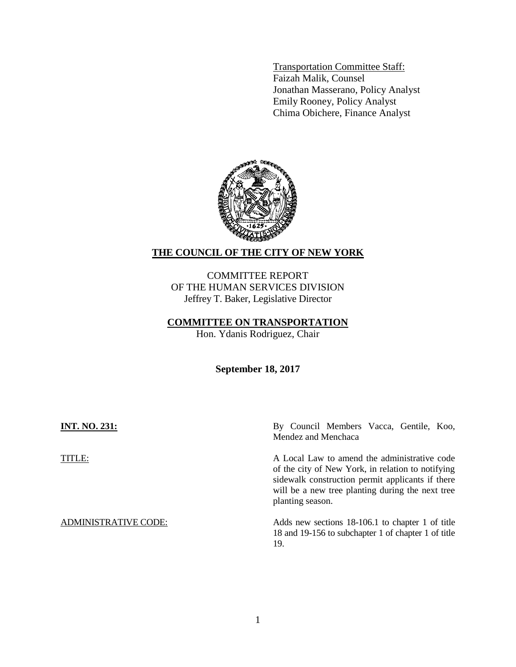Transportation Committee Staff: Faizah Malik, Counsel Jonathan Masserano, Policy Analyst Emily Rooney, Policy Analyst Chima Obichere, Finance Analyst



# **THE COUNCIL OF THE CITY OF NEW YORK**

COMMITTEE REPORT OF THE HUMAN SERVICES DIVISION Jeffrey T. Baker, Legislative Director

## **COMMITTEE ON TRANSPORTATION**

Hon. Ydanis Rodriguez, Chair

## **September 18, 2017**

| <b>INT. NO. 231:</b>        | By Council Members Vacca, Gentile, Koo,<br>Mendez and Menchaca                                                                                                                                                                |
|-----------------------------|-------------------------------------------------------------------------------------------------------------------------------------------------------------------------------------------------------------------------------|
| TITLE:                      | A Local Law to amend the administrative code<br>of the city of New York, in relation to notifying<br>sidewalk construction permit applicants if there<br>will be a new tree planting during the next tree<br>planting season. |
| <b>ADMINISTRATIVE CODE:</b> | Adds new sections 18-106.1 to chapter 1 of title<br>18 and 19-156 to subchapter 1 of chapter 1 of title<br>19.                                                                                                                |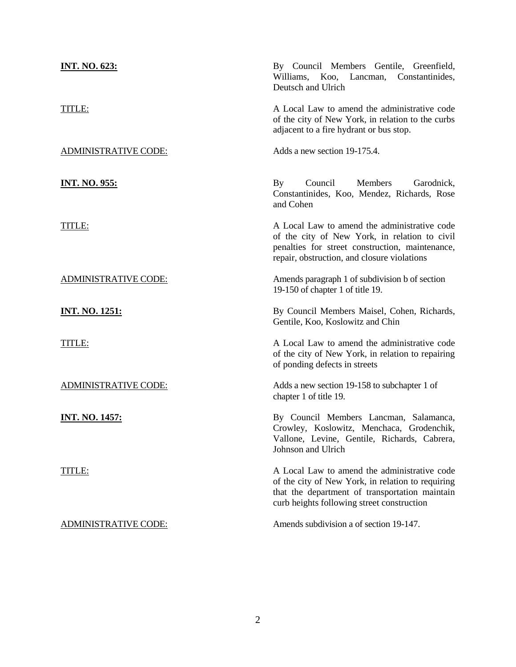| <b>INT. NO. 623:</b>        | By Council Members Gentile, Greenfield,<br>Williams, Koo, Lancman, Constantinides,<br>Deutsch and Ulrich                                                                                          |
|-----------------------------|---------------------------------------------------------------------------------------------------------------------------------------------------------------------------------------------------|
| TITLE:                      | A Local Law to amend the administrative code<br>of the city of New York, in relation to the curbs<br>adjacent to a fire hydrant or bus stop.                                                      |
| <b>ADMINISTRATIVE CODE:</b> | Adds a new section 19-175.4.                                                                                                                                                                      |
| <b>INT. NO. 955:</b>        | Council<br>Members<br>By<br>Garodnick,<br>Constantinides, Koo, Mendez, Richards, Rose<br>and Cohen                                                                                                |
| TITLE:                      | A Local Law to amend the administrative code<br>of the city of New York, in relation to civil<br>penalties for street construction, maintenance,<br>repair, obstruction, and closure violations   |
| <b>ADMINISTRATIVE CODE:</b> | Amends paragraph 1 of subdivision b of section<br>19-150 of chapter 1 of title 19.                                                                                                                |
| <b>INT. NO. 1251:</b>       | By Council Members Maisel, Cohen, Richards,<br>Gentile, Koo, Koslowitz and Chin                                                                                                                   |
| TITLE:                      | A Local Law to amend the administrative code<br>of the city of New York, in relation to repairing<br>of ponding defects in streets                                                                |
| <b>ADMINISTRATIVE CODE:</b> | Adds a new section 19-158 to subchapter 1 of<br>chapter 1 of title 19.                                                                                                                            |
| <b>INT. NO. 1457:</b>       | By Council Members Lancman, Salamanca,<br>Crowley, Koslowitz, Menchaca, Grodenchik,<br>Vallone, Levine, Gentile, Richards, Cabrera,<br>Johnson and Ulrich                                         |
| TITLE:                      | A Local Law to amend the administrative code<br>of the city of New York, in relation to requiring<br>that the department of transportation maintain<br>curb heights following street construction |
| ADMINISTRATIVE CODE:        | Amends subdivision a of section 19-147.                                                                                                                                                           |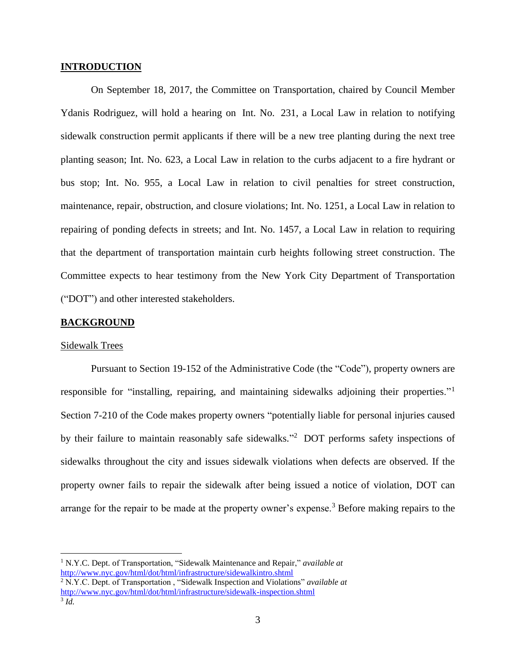### **INTRODUCTION**

On September 18, 2017, the Committee on Transportation, chaired by Council Member Ydanis Rodriguez, will hold a hearing on Int. No. 231, a Local Law in relation to notifying sidewalk construction permit applicants if there will be a new tree planting during the next tree planting season; Int. No. 623, a Local Law in relation to the curbs adjacent to a fire hydrant or bus stop; Int. No. 955, a Local Law in relation to civil penalties for street construction, maintenance, repair, obstruction, and closure violations; Int. No. 1251, a Local Law in relation to repairing of ponding defects in streets; and Int. No. 1457, a Local Law in relation to requiring that the department of transportation maintain curb heights following street construction. The Committee expects to hear testimony from the New York City Department of Transportation ("DOT") and other interested stakeholders.

### **BACKGROUND**

### Sidewalk Trees

 $\overline{a}$ 

Pursuant to Section 19-152 of the Administrative Code (the "Code"), property owners are responsible for "installing, repairing, and maintaining sidewalks adjoining their properties."<sup>1</sup> Section 7-210 of the Code makes property owners "potentially liable for personal injuries caused by their failure to maintain reasonably safe sidewalks."<sup>2</sup> DOT performs safety inspections of sidewalks throughout the city and issues sidewalk violations when defects are observed. If the property owner fails to repair the sidewalk after being issued a notice of violation, DOT can arrange for the repair to be made at the property owner's expense.<sup>3</sup> Before making repairs to the

<sup>&</sup>lt;sup>1</sup> N.Y.C. Dept. of Transportation, "Sidewalk Maintenance and Repair," *available at* <http://www.nyc.gov/html/dot/html/infrastructure/sidewalkintro.shtml>

<sup>2</sup> N.Y.C. Dept. of Transportation , "Sidewalk Inspection and Violations" *available at*  <http://www.nyc.gov/html/dot/html/infrastructure/sidewalk-inspection.shtml> 3 *Id.*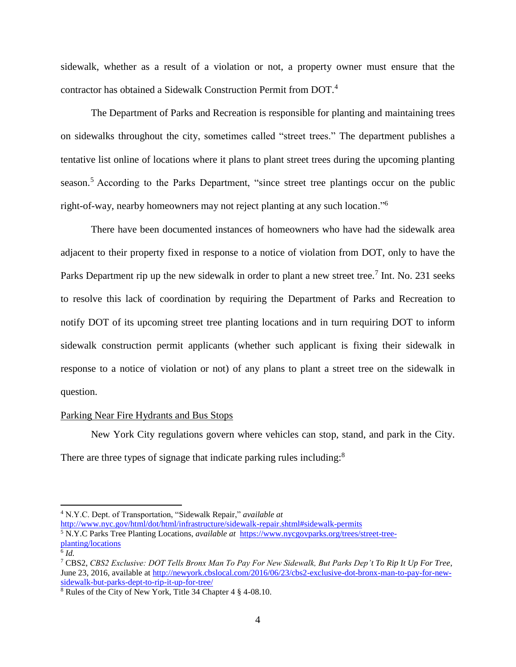sidewalk, whether as a result of a violation or not, a property owner must ensure that the contractor has obtained a Sidewalk Construction Permit from DOT.<sup>4</sup>

The Department of Parks and Recreation is responsible for planting and maintaining trees on sidewalks throughout the city, sometimes called "street trees." The department publishes a tentative list online of locations where it plans to plant street trees during the upcoming planting season.<sup>5</sup> According to the Parks Department, "since street tree plantings occur on the public right-of-way, nearby homeowners may not reject planting at any such location."<sup>6</sup>

There have been documented instances of homeowners who have had the sidewalk area adjacent to their property fixed in response to a notice of violation from DOT, only to have the Parks Department rip up the new sidewalk in order to plant a new street tree.<sup>7</sup> Int. No. 231 seeks to resolve this lack of coordination by requiring the Department of Parks and Recreation to notify DOT of its upcoming street tree planting locations and in turn requiring DOT to inform sidewalk construction permit applicants (whether such applicant is fixing their sidewalk in response to a notice of violation or not) of any plans to plant a street tree on the sidewalk in question.

### Parking Near Fire Hydrants and Bus Stops

New York City regulations govern where vehicles can stop, stand, and park in the City. There are three types of signage that indicate parking rules including:<sup>8</sup>

<http://www.nyc.gov/html/dot/html/infrastructure/sidewalk-repair.shtml#sidewalk-permits>

 $\overline{a}$ 

<sup>4</sup> N.Y.C. Dept. of Transportation, "Sidewalk Repair," *available at* 

<sup>5</sup> N.Y.C Parks Tree Planting Locations, *available at* [https://www.nycgovparks.org/trees/street-tree](https://www.nycgovparks.org/trees/street-tree-planting/locations)[planting/locations](https://www.nycgovparks.org/trees/street-tree-planting/locations)

<sup>6</sup> *Id.*

<sup>7</sup> CBS2, *CBS2 Exclusive: DOT Tells Bronx Man To Pay For New Sidewalk, But Parks Dep't To Rip It Up For Tree*, June 23, 2016, available at [http://newyork.cbslocal.com/2016/06/23/cbs2-exclusive-dot-bronx-man-to-pay-for-new](http://newyork.cbslocal.com/2016/06/23/cbs2-exclusive-dot-bronx-man-to-pay-for-new-sidewalk-but-parks-dept-to-rip-it-up-for-tree/)[sidewalk-but-parks-dept-to-rip-it-up-for-tree/](http://newyork.cbslocal.com/2016/06/23/cbs2-exclusive-dot-bronx-man-to-pay-for-new-sidewalk-but-parks-dept-to-rip-it-up-for-tree/)

<sup>&</sup>lt;sup>8</sup> Rules of the City of New York, Title 34 Chapter 4 § 4-08.10.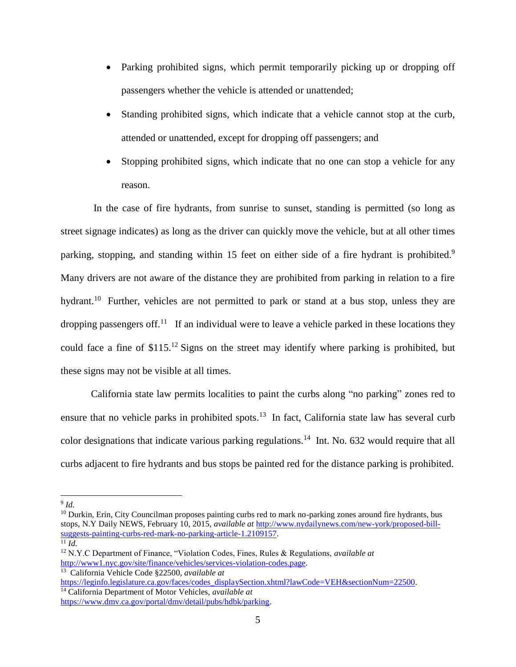- Parking prohibited signs, which permit temporarily picking up or dropping off passengers whether the vehicle is attended or unattended;
- Standing prohibited signs, which indicate that a vehicle cannot stop at the curb, attended or unattended, except for dropping off passengers; and
- Stopping prohibited signs, which indicate that no one can stop a vehicle for any reason.

In the case of fire hydrants, from sunrise to sunset, standing is permitted (so long as street signage indicates) as long as the driver can quickly move the vehicle, but at all other times parking, stopping, and standing within 15 feet on either side of a fire hydrant is prohibited.<sup>9</sup> Many drivers are not aware of the distance they are prohibited from parking in relation to a fire hydrant.<sup>10</sup> Further, vehicles are not permitted to park or stand at a bus stop, unless they are dropping passengers off.<sup>11</sup> If an individual were to leave a vehicle parked in these locations they could face a fine of \$115.<sup>12</sup> Signs on the street may identify where parking is prohibited, but these signs may not be visible at all times.

California state law permits localities to paint the curbs along "no parking" zones red to ensure that no vehicle parks in prohibited spots.<sup>13</sup> In fact, California state law has several curb color designations that indicate various parking regulations.<sup>14</sup> Int. No. 632 would require that all curbs adjacent to fire hydrants and bus stops be painted red for the distance parking is prohibited.

 $\overline{a}$ 

<sup>9</sup> *Id.*

<sup>&</sup>lt;sup>10</sup> Durkin, Erin, City Councilman proposes painting curbs red to mark no-parking zones around fire hydrants, bus stops, N.Y Daily NEWS, February 10, 2015, *available at* [http://www.nydailynews.com/new-york/proposed-bill](http://www.nydailynews.com/new-york/proposed-bill-suggests-painting-curbs-red-mark-no-parking-article-1.2109157)[suggests-painting-curbs-red-mark-no-parking-article-1.2109157.](http://www.nydailynews.com/new-york/proposed-bill-suggests-painting-curbs-red-mark-no-parking-article-1.2109157)

 $\overline{^{11}$  *Id.* 

<sup>12</sup> N.Y.C Department of Finance, "Violation Codes, Fines, Rules & Regulations, *available at* [http://www1.nyc.gov/site/finance/vehicles/services-violation-codes.page.](http://www1.nyc.gov/site/finance/vehicles/services-violation-codes.page)

<sup>13</sup> California Vehicle Code §22500, *available at* [https://leginfo.legislature.ca.gov/faces/codes\\_displaySection.xhtml?lawCode=VEH&sectionNum=22500.](https://leginfo.legislature.ca.gov/faces/codes_displaySection.xhtml?lawCode=VEH§ionNum=22500)

<sup>14</sup> California Department of Motor Vehicles, *available at* [https://www.dmv.ca.gov/portal/dmv/detail/pubs/hdbk/parking.](https://www.dmv.ca.gov/portal/dmv/detail/pubs/hdbk/parking)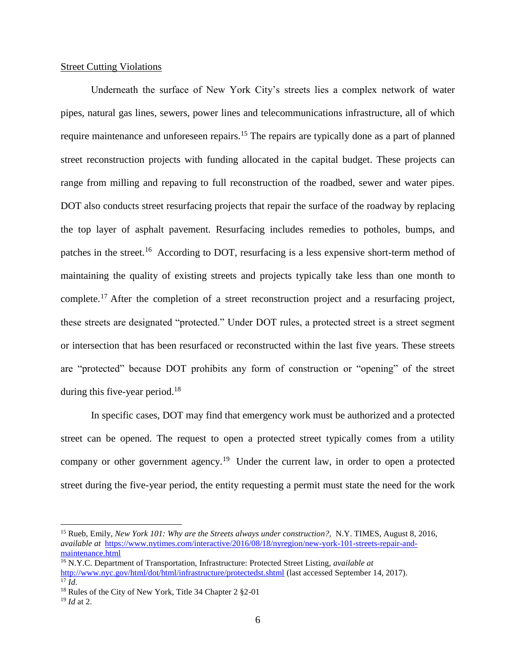### Street Cutting Violations

Underneath the surface of New York City's streets lies a complex network of water pipes, natural gas lines, sewers, power lines and telecommunications infrastructure, all of which require maintenance and unforeseen repairs.<sup>15</sup> The repairs are typically done as a part of planned street reconstruction projects with funding allocated in the capital budget. These projects can range from milling and repaving to full reconstruction of the roadbed, sewer and water pipes. DOT also conducts street resurfacing projects that repair the surface of the roadway by replacing the top layer of asphalt pavement. Resurfacing includes remedies to potholes, bumps, and patches in the street.<sup>16</sup> According to DOT, resurfacing is a less expensive short-term method of maintaining the quality of existing streets and projects typically take less than one month to complete.<sup>17</sup> After the completion of a street reconstruction project and a resurfacing project, these streets are designated "protected." Under DOT rules, a protected street is a street segment or intersection that has been resurfaced or reconstructed within the last five years. These streets are "protected" because DOT prohibits any form of construction or "opening" of the street during this five-year period.<sup>18</sup>

In specific cases, DOT may find that emergency work must be authorized and a protected street can be opened. The request to open a protected street typically comes from a utility company or other government agency.<sup>19</sup> Under the current law, in order to open a protected street during the five-year period, the entity requesting a permit must state the need for the work

<sup>15</sup> Rueb, Emily, *New York 101: Why are the Streets always under construction?,* N.Y. TIMES, August 8, 2016, *available at* [https://www.nytimes.com/interactive/2016/08/18/nyregion/new-york-101-streets-repair-and](https://www.nytimes.com/interactive/2016/08/18/nyregion/new-york-101-streets-repair-and-maintenance.html)[maintenance.html](https://www.nytimes.com/interactive/2016/08/18/nyregion/new-york-101-streets-repair-and-maintenance.html)

<sup>16</sup> N.Y.C. Department of Transportation, Infrastructure: Protected Street Listing, *available at*  <http://www.nyc.gov/html/dot/html/infrastructure/protectedst.shtml> (last accessed September 14, 2017).  $17$  *Id.* 

<sup>18</sup> Rules of the City of New York, Title 34 Chapter 2 §2-01

<sup>19</sup> *Id* at 2.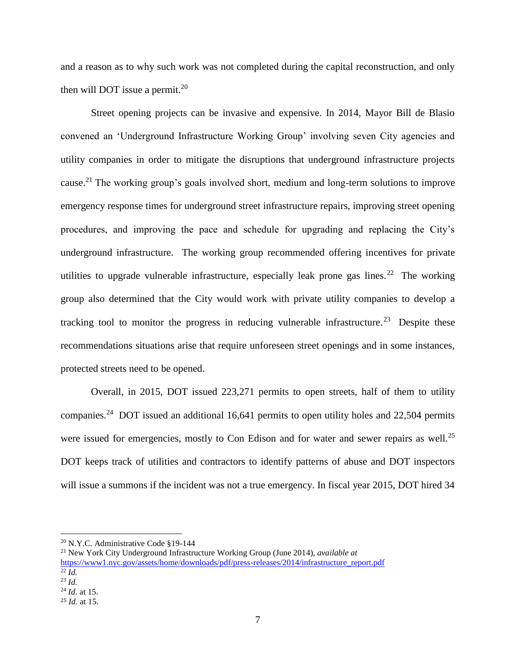and a reason as to why such work was not completed during the capital reconstruction, and only then will DOT issue a permit.<sup>20</sup>

Street opening projects can be invasive and expensive. In 2014, Mayor Bill de Blasio convened an 'Underground Infrastructure Working Group' involving seven City agencies and utility companies in order to mitigate the disruptions that underground infrastructure projects cause.<sup>21</sup> The working group's goals involved short, medium and long-term solutions to improve emergency response times for underground street infrastructure repairs, improving street opening procedures, and improving the pace and schedule for upgrading and replacing the City's underground infrastructure. The working group recommended offering incentives for private utilities to upgrade vulnerable infrastructure, especially leak prone gas lines.<sup>22</sup> The working group also determined that the City would work with private utility companies to develop a tracking tool to monitor the progress in reducing vulnerable infrastructure.<sup>23</sup> Despite these recommendations situations arise that require unforeseen street openings and in some instances, protected streets need to be opened.

Overall, in 2015, DOT issued 223,271 permits to open streets, half of them to utility companies.<sup>24</sup> DOT issued an additional 16,641 permits to open utility holes and 22,504 permits were issued for emergencies, mostly to Con Edison and for water and sewer repairs as well.<sup>25</sup> DOT keeps track of utilities and contractors to identify patterns of abuse and DOT inspectors will issue a summons if the incident was not a true emergency. In fiscal year 2015, DOT hired 34

<sup>21</sup> New York City Underground Infrastructure Working Group (June 2014), *available at*  [https://www1.nyc.gov/assets/home/downloads/pdf/press-releases/2014/infrastructure\\_report.pdf](https://www1.nyc.gov/assets/home/downloads/pdf/press-releases/2014/infrastructure_report.pdf)  $^{22}$  *Id.* <sup>23</sup> *Id.*

<sup>20</sup> N.Y.C. Administrative Code §19-144

<sup>24</sup> *Id.* at 15.

<sup>25</sup> *Id.* at 15.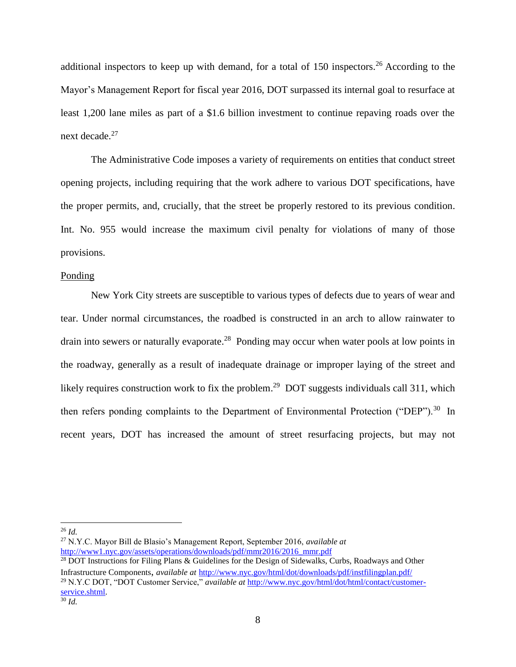additional inspectors to keep up with demand, for a total of  $150$  inspectors.<sup>26</sup> According to the Mayor's Management Report for fiscal year 2016, DOT surpassed its internal goal to resurface at least 1,200 lane miles as part of a \$1.6 billion investment to continue repaving roads over the next decade.<sup>27</sup>

The Administrative Code imposes a variety of requirements on entities that conduct street opening projects, including requiring that the work adhere to various DOT specifications, have the proper permits, and, crucially, that the street be properly restored to its previous condition. Int. No. 955 would increase the maximum civil penalty for violations of many of those provisions.

### Ponding

New York City streets are susceptible to various types of defects due to years of wear and tear. Under normal circumstances, the roadbed is constructed in an arch to allow rainwater to drain into sewers or naturally evaporate.<sup>28</sup> Ponding may occur when water pools at low points in the roadway, generally as a result of inadequate drainage or improper laying of the street and likely requires construction work to fix the problem.<sup>29</sup> DOT suggests individuals call 311, which then refers ponding complaints to the Department of Environmental Protection ("DEP").<sup>30</sup> In recent years, DOT has increased the amount of street resurfacing projects, but may not

<sup>26</sup> *Id.*

<sup>27</sup> N.Y.C. Mayor Bill de Blasio's Management Report, September 2016, *available at* [http://www1.nyc.gov/assets/operations/downloads/pdf/mmr2016/2016\\_mmr.pdf](http://www1.nyc.gov/assets/operations/downloads/pdf/mmr2016/2016_mmr.pdf)

<sup>&</sup>lt;sup>28</sup> DOT Instructions for Filing Plans & Guidelines for the Design of Sidewalks, Curbs, Roadways and Other Infrastructure Components, *available at* <http://www.nyc.gov/html/dot/downloads/pdf/instfilingplan.pdf/> <sup>29</sup> N.Y.C DOT, "DOT Customer Service," *available at* [http://www.nyc.gov/html/dot/html/contact/customer](http://www.nyc.gov/html/dot/html/contact/customer-service.shtml)[service.shtml.](http://www.nyc.gov/html/dot/html/contact/customer-service.shtml) <sup>30</sup> *Id.*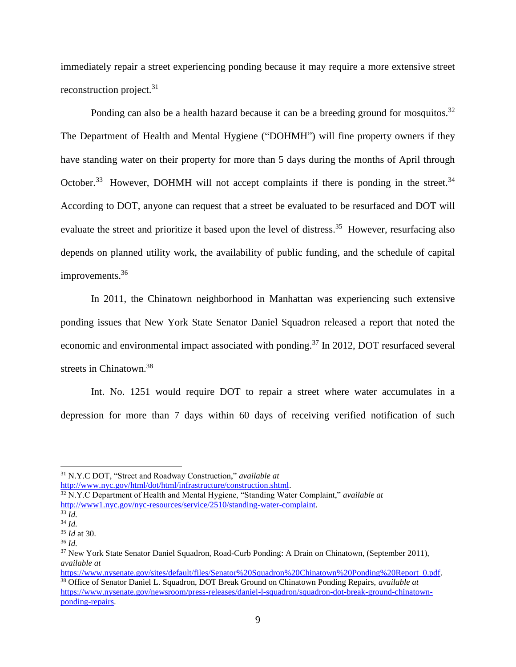immediately repair a street experiencing ponding because it may require a more extensive street reconstruction project.<sup>31</sup>

Ponding can also be a health hazard because it can be a breeding ground for mosquitos.<sup>32</sup> The Department of Health and Mental Hygiene ("DOHMH") will fine property owners if they have standing water on their property for more than 5 days during the months of April through October.<sup>33</sup> However, DOHMH will not accept complaints if there is ponding in the street.<sup>34</sup> According to DOT, anyone can request that a street be evaluated to be resurfaced and DOT will evaluate the street and prioritize it based upon the level of distress.<sup>35</sup> However, resurfacing also depends on planned utility work, the availability of public funding, and the schedule of capital improvements.<sup>36</sup>

In 2011, the Chinatown neighborhood in Manhattan was experiencing such extensive ponding issues that New York State Senator Daniel Squadron released a report that noted the economic and environmental impact associated with ponding.<sup>37</sup> In 2012, DOT resurfaced several streets in Chinatown.<sup>38</sup>

Int. No. 1251 would require DOT to repair a street where water accumulates in a depression for more than 7 days within 60 days of receiving verified notification of such

[http://www.nyc.gov/html/dot/html/infrastructure/construction.shtml.](http://www.nyc.gov/html/dot/html/infrastructure/construction.shtml)

<sup>31</sup> N.Y.C DOT, "Street and Roadway Construction," *available at* 

<sup>32</sup> N.Y.C Department of Health and Mental Hygiene, "Standing Water Complaint," *available at*  [http://www1.nyc.gov/nyc-resources/service/2510/standing-water-complaint.](http://www1.nyc.gov/nyc-resources/service/2510/standing-water-complaint)  $33 \overline{Id}$ .

<sup>34</sup> *Id.*

<sup>35</sup> *Id* at 30.

<sup>36</sup> *Id.*

<sup>37</sup> New York State Senator Daniel Squadron, Road-Curb Ponding: A Drain on Chinatown, (September 2011), *available at*

[https://www.nysenate.gov/sites/default/files/Senator%20Squadron%20Chinatown%20Ponding%20Report\\_0.pdf.](https://www.nysenate.gov/sites/default/files/Senator%20Squadron%20Chinatown%20Ponding%20Report_0.pdf) <sup>38</sup> Office of Senator Daniel L. Squadron, DOT Break Ground on Chinatown Ponding Repairs, *available at* [https://www.nysenate.gov/newsroom/press-releases/daniel-l-squadron/squadron-dot-break-ground-chinatown](https://www.nysenate.gov/newsroom/press-releases/daniel-l-squadron/squadron-dot-break-ground-chinatown-ponding-repairs)[ponding-repairs.](https://www.nysenate.gov/newsroom/press-releases/daniel-l-squadron/squadron-dot-break-ground-chinatown-ponding-repairs)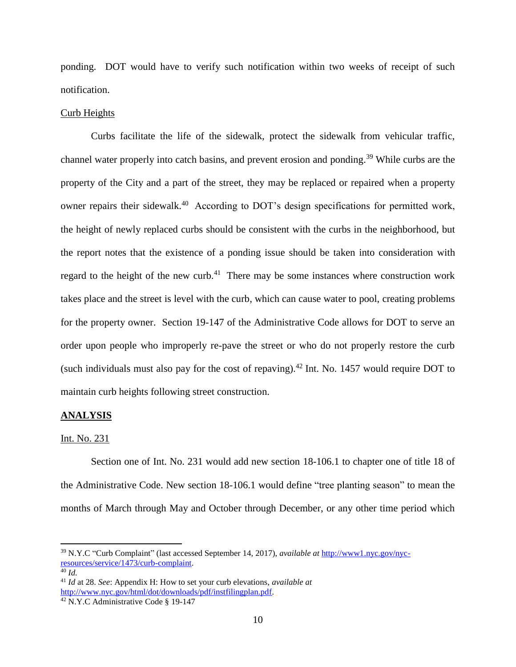ponding. DOT would have to verify such notification within two weeks of receipt of such notification.

#### Curb Heights

Curbs facilitate the life of the sidewalk, protect the sidewalk from vehicular traffic, channel water properly into catch basins, and prevent erosion and ponding.<sup>39</sup> While curbs are the property of the City and a part of the street, they may be replaced or repaired when a property owner repairs their sidewalk.<sup>40</sup> According to DOT's design specifications for permitted work, the height of newly replaced curbs should be consistent with the curbs in the neighborhood, but the report notes that the existence of a ponding issue should be taken into consideration with regard to the height of the new curb.<sup>41</sup> There may be some instances where construction work takes place and the street is level with the curb, which can cause water to pool, creating problems for the property owner. Section 19-147 of the Administrative Code allows for DOT to serve an order upon people who improperly re-pave the street or who do not properly restore the curb (such individuals must also pay for the cost of repaving). $42$  Int. No. 1457 would require DOT to maintain curb heights following street construction.

### **ANALYSIS**

#### Int. No. 231

Section one of Int. No. 231 would add new section 18-106.1 to chapter one of title 18 of the Administrative Code. New section 18-106.1 would define "tree planting season" to mean the months of March through May and October through December, or any other time period which

 $\overline{a}$ 

<sup>39</sup> N.Y.C "Curb Complaint" (last accessed September 14, 2017), *available at* [http://www1.nyc.gov/nyc](http://www1.nyc.gov/nyc-resources/service/1473/curb-complaint)[resources/service/1473/curb-complaint.](http://www1.nyc.gov/nyc-resources/service/1473/curb-complaint) 

<sup>40</sup> *Id.*

<sup>41</sup> *Id* at 28. *See*: Appendix H: How to set your curb elevations, *available at* [http://www.nyc.gov/html/dot/downloads/pdf/instfilingplan.pdf.](http://www.nyc.gov/html/dot/downloads/pdf/instfilingplan.pdf)

<sup>42</sup> N.Y.C Administrative Code § 19-147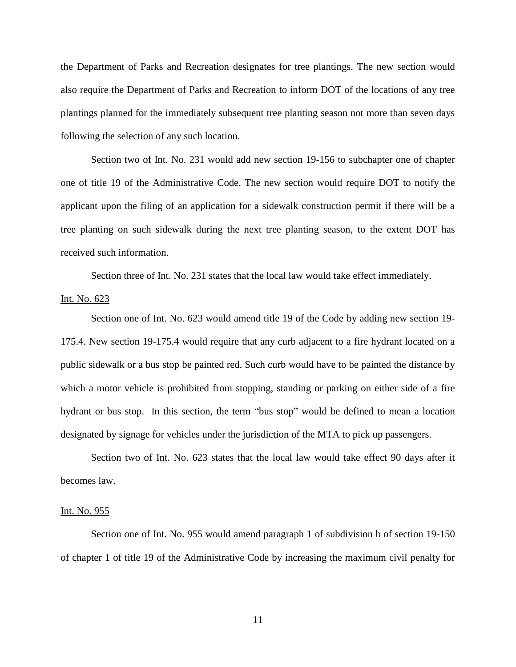the Department of Parks and Recreation designates for tree plantings. The new section would also require the Department of Parks and Recreation to inform DOT of the locations of any tree plantings planned for the immediately subsequent tree planting season not more than seven days following the selection of any such location.

Section two of Int. No. 231 would add new section 19-156 to subchapter one of chapter one of title 19 of the Administrative Code. The new section would require DOT to notify the applicant upon the filing of an application for a sidewalk construction permit if there will be a tree planting on such sidewalk during the next tree planting season, to the extent DOT has received such information.

Section three of Int. No. 231 states that the local law would take effect immediately.

### Int. No. 623

Section one of Int. No. 623 would amend title 19 of the Code by adding new section 19- 175.4. New section 19-175.4 would require that any curb adjacent to a fire hydrant located on a public sidewalk or a bus stop be painted red. Such curb would have to be painted the distance by which a motor vehicle is prohibited from stopping, standing or parking on either side of a fire hydrant or bus stop. In this section, the term "bus stop" would be defined to mean a location designated by signage for vehicles under the jurisdiction of the MTA to pick up passengers.

Section two of Int. No. 623 states that the local law would take effect 90 days after it becomes law.

#### Int. No. 955

Section one of Int. No. 955 would amend paragraph 1 of subdivision b of section 19-150 of chapter 1 of title 19 of the Administrative Code by increasing the maximum civil penalty for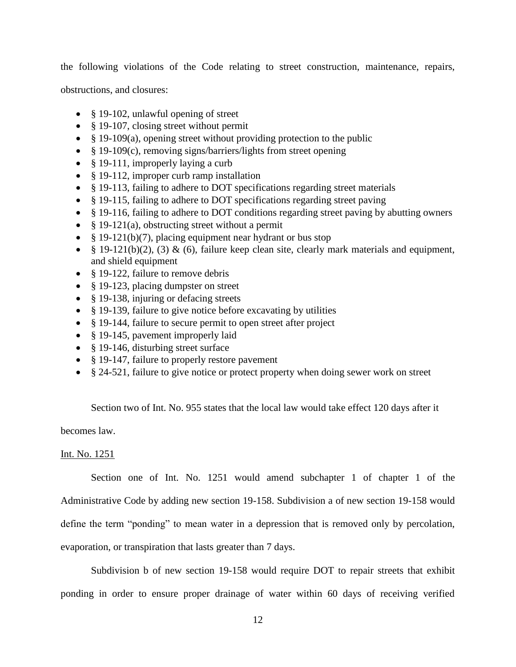the following violations of the Code relating to street construction, maintenance, repairs,

obstructions, and closures:

- § 19-102, unlawful opening of street
- § 19-107, closing street without permit
- § 19-109(a), opening street without providing protection to the public
- § 19-109(c), removing signs/barriers/lights from street opening
- § 19-111, improperly laying a curb
- § 19-112, improper curb ramp installation
- § 19-113, failing to adhere to DOT specifications regarding street materials
- § 19-115, failing to adhere to DOT specifications regarding street paving
- § 19-116, failing to adhere to DOT conditions regarding street paving by abutting owners
- § 19-121(a), obstructing street without a permit
- $§ 19-121(b)(7)$ , placing equipment near hydrant or bus stop
- § 19-121(b)(2), (3) & (6), failure keep clean site, clearly mark materials and equipment, and shield equipment
- § 19-122, failure to remove debris
- § 19-123, placing dumpster on street
- § 19-138, injuring or defacing streets
- § 19-139, failure to give notice before excavating by utilities
- § 19-144, failure to secure permit to open street after project
- § 19-145, pavement improperly laid
- § 19-146, disturbing street surface
- § 19-147, failure to properly restore pavement
- § 24-521, failure to give notice or protect property when doing sewer work on street

Section two of Int. No. 955 states that the local law would take effect 120 days after it becomes law.

### Int. No. 1251

Section one of Int. No. 1251 would amend subchapter 1 of chapter 1 of the Administrative Code by adding new section 19-158. Subdivision a of new section 19-158 would define the term "ponding" to mean water in a depression that is removed only by percolation, evaporation, or transpiration that lasts greater than 7 days.

Subdivision b of new section 19-158 would require DOT to repair streets that exhibit ponding in order to ensure proper drainage of water within 60 days of receiving verified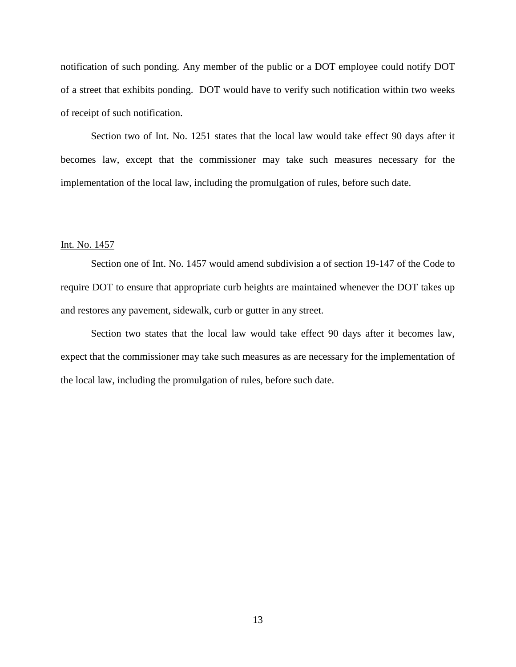notification of such ponding. Any member of the public or a DOT employee could notify DOT of a street that exhibits ponding. DOT would have to verify such notification within two weeks of receipt of such notification.

Section two of Int. No. 1251 states that the local law would take effect 90 days after it becomes law, except that the commissioner may take such measures necessary for the implementation of the local law, including the promulgation of rules, before such date.

### Int. No. 1457

Section one of Int. No. 1457 would amend subdivision a of section 19-147 of the Code to require DOT to ensure that appropriate curb heights are maintained whenever the DOT takes up and restores any pavement, sidewalk, curb or gutter in any street.

Section two states that the local law would take effect 90 days after it becomes law, expect that the commissioner may take such measures as are necessary for the implementation of the local law, including the promulgation of rules, before such date.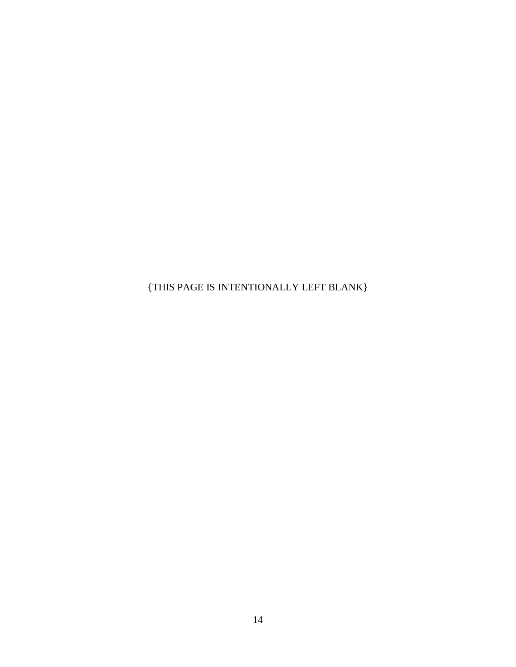{THIS PAGE IS INTENTIONALLY LEFT BLANK}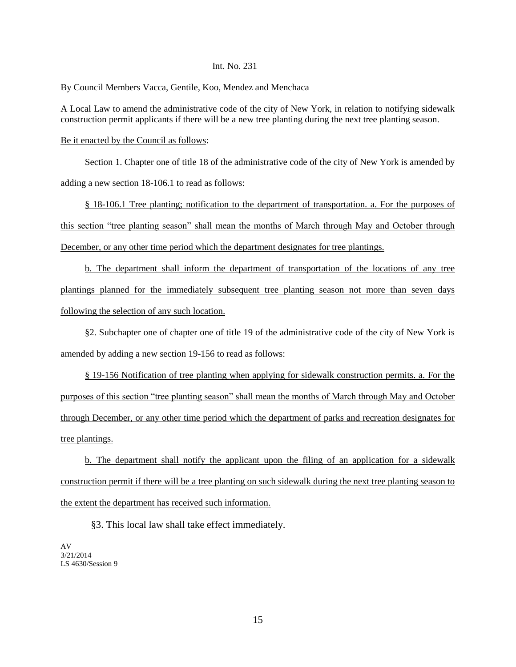By Council Members Vacca, Gentile, Koo, Mendez and Menchaca

A Local Law to amend the administrative code of the city of New York, in relation to notifying sidewalk construction permit applicants if there will be a new tree planting during the next tree planting season.

#### Be it enacted by the Council as follows:

Section 1. Chapter one of title 18 of the administrative code of the city of New York is amended by adding a new section 18-106.1 to read as follows:

§ 18-106.1 Tree planting; notification to the department of transportation. a. For the purposes of this section "tree planting season" shall mean the months of March through May and October through December, or any other time period which the department designates for tree plantings.

b. The department shall inform the department of transportation of the locations of any tree plantings planned for the immediately subsequent tree planting season not more than seven days following the selection of any such location.

§2. Subchapter one of chapter one of title 19 of the administrative code of the city of New York is amended by adding a new section 19-156 to read as follows:

§ 19-156 Notification of tree planting when applying for sidewalk construction permits. a. For the purposes of this section "tree planting season" shall mean the months of March through May and October through December, or any other time period which the department of parks and recreation designates for tree plantings.

b. The department shall notify the applicant upon the filing of an application for a sidewalk construction permit if there will be a tree planting on such sidewalk during the next tree planting season to the extent the department has received such information.

§3. This local law shall take effect immediately.

AV 3/21/2014 LS 4630/Session 9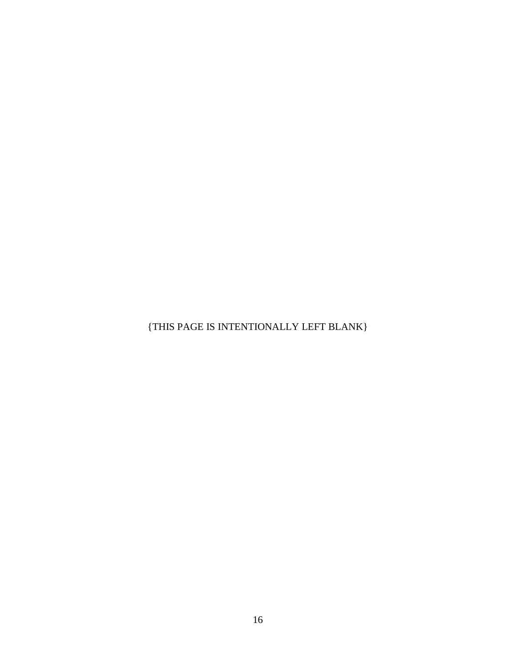{THIS PAGE IS INTENTIONALLY LEFT BLANK}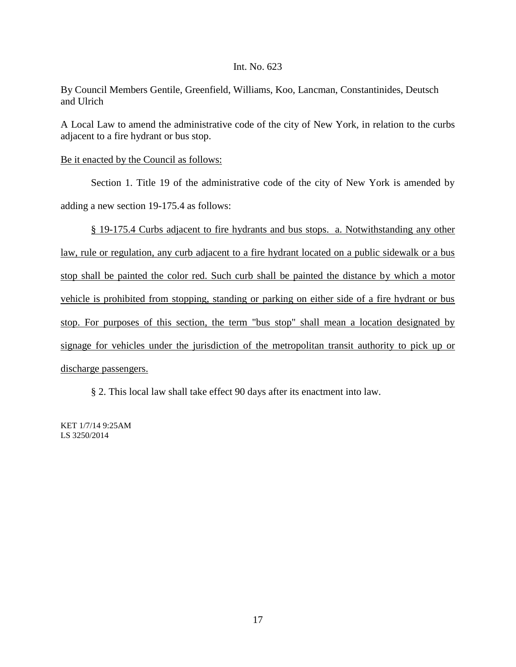By Council Members Gentile, Greenfield, Williams, Koo, Lancman, Constantinides, Deutsch and Ulrich

A Local Law to amend the administrative code of the city of New York, in relation to the curbs adjacent to a fire hydrant or bus stop.

### Be it enacted by the Council as follows:

Section 1. Title 19 of the administrative code of the city of New York is amended by adding a new section 19-175.4 as follows:

§ 19-175.4 Curbs adjacent to fire hydrants and bus stops. a. Notwithstanding any other law, rule or regulation, any curb adjacent to a fire hydrant located on a public sidewalk or a bus stop shall be painted the color red. Such curb shall be painted the distance by which a motor vehicle is prohibited from stopping, standing or parking on either side of a fire hydrant or bus stop. For purposes of this section, the term "bus stop" shall mean a location designated by signage for vehicles under the jurisdiction of the metropolitan transit authority to pick up or discharge passengers.

§ 2. This local law shall take effect 90 days after its enactment into law.

KET 1/7/14 9:25AM LS 3250/2014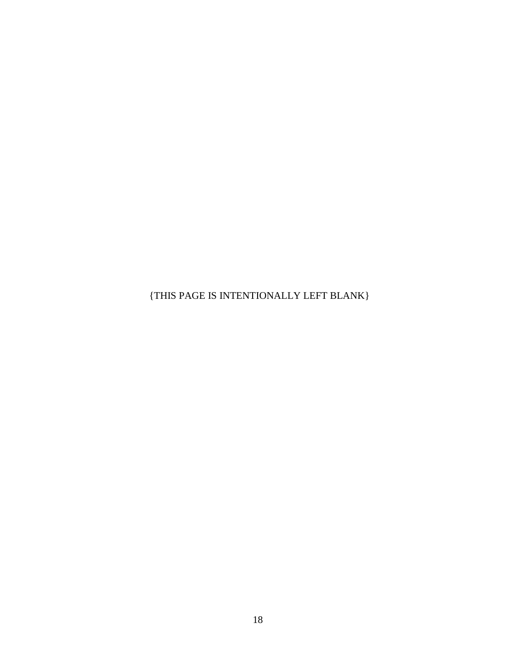{THIS PAGE IS INTENTIONALLY LEFT BLANK}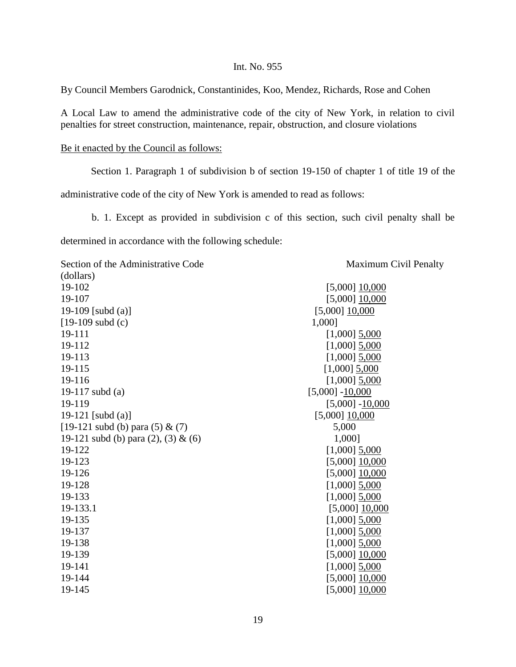By Council Members Garodnick, Constantinides, Koo, Mendez, Richards, Rose and Cohen

A Local Law to amend the administrative code of the city of New York, in relation to civil penalties for street construction, maintenance, repair, obstruction, and closure violations

Be it enacted by the Council as follows:

Section 1. Paragraph 1 of subdivision b of section 19-150 of chapter 1 of title 19 of the

administrative code of the city of New York is amended to read as follows:

b. 1. Except as provided in subdivision c of this section, such civil penalty shall be

determined in accordance with the following schedule:

| Section of the Administrative Code         | <b>Maximum Civil Penalty</b>   |
|--------------------------------------------|--------------------------------|
| (dollars)                                  |                                |
| 19-102                                     | $[5,000]$ $\underline{10,000}$ |
| 19-107                                     | $[5,000]$ 10,000               |
| 19-109 [subd $(a)$ ]                       | $[5,000]$ $10,000$             |
| $[19-109 \text{ subd (c)}]$                | 1,000]                         |
| 19-111                                     | $[1,000]$ 5,000                |
| 19-112                                     | $[1,000]$ 5,000                |
| 19-113                                     | $[1,000]$ 5,000                |
| 19-115                                     | $[1,000]$ 5,000                |
| 19-116                                     | $[1,000]$ 5,000                |
| 19-117 subd $(a)$                          | $[5,000] -10,000$              |
| 19-119                                     | $[5,000] -10,000$              |
| 19-121 [subd $(a)$ ]                       | $[5,000]$ 10,000               |
| [19-121 subd (b) para (5) & (7)            | 5,000                          |
| 19-121 subd (b) para $(2)$ , $(3)$ & $(6)$ | 1,000]                         |
| 19-122                                     | $[1,000]$ 5,000                |
| 19-123                                     | $[5,000]$ $10,000$             |
| 19-126                                     | $[5,000]$ $\underline{10,000}$ |
| 19-128                                     | $[1,000]$ 5,000                |
| 19-133                                     | $[1,000]$ 5,000                |
| 19-133.1                                   | $[5,000]$ $\underline{10,000}$ |
| 19-135                                     | $[1,000]$ 5,000                |
| 19-137                                     | $[1,000]$ 5,000                |
| 19-138                                     | $[1,000]$ 5,000                |
| 19-139                                     | $[5,000]$ $\underline{10,000}$ |
| 19-141                                     | $[1,000]$ 5,000                |
| 19-144                                     | $[5,000]$ $10,000$             |
| 19-145                                     | $[5,000]$ 10,000               |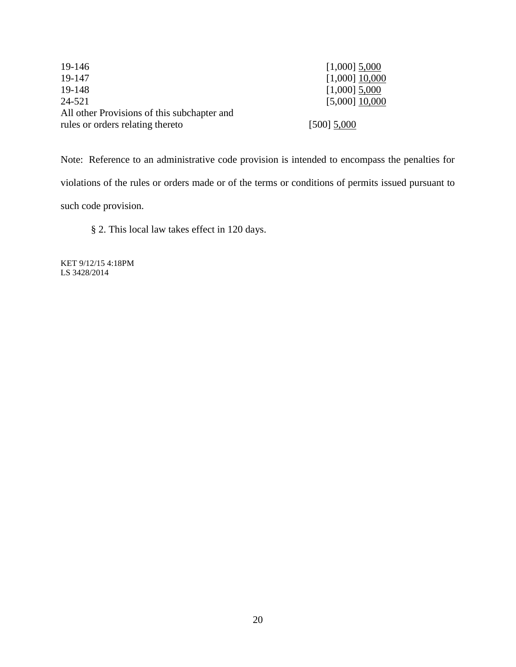| 19-146                                      | $[1,000]$ 5,000  |
|---------------------------------------------|------------------|
| 19-147                                      | $[1,000]$ 10,000 |
| 19-148                                      | $[1,000]$ 5,000  |
| 24-521                                      | $[5,000]$ 10,000 |
| All other Provisions of this subchapter and |                  |
| rules or orders relating thereto            | $[500]$ 5,000    |

Note: Reference to an administrative code provision is intended to encompass the penalties for violations of the rules or orders made or of the terms or conditions of permits issued pursuant to such code provision.

§ 2. This local law takes effect in 120 days.

KET 9/12/15 4:18PM LS 3428/2014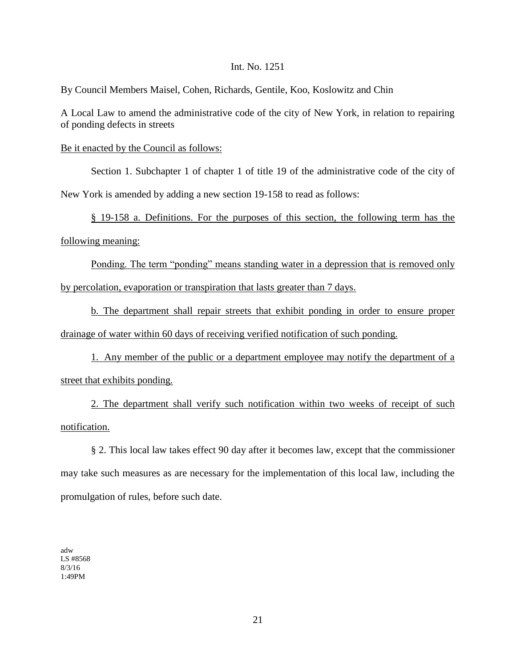By Council Members Maisel, Cohen, Richards, Gentile, Koo, Koslowitz and Chin

A Local Law to amend the administrative code of the city of New York, in relation to repairing of ponding defects in streets

Be it enacted by the Council as follows:

Section 1. Subchapter 1 of chapter 1 of title 19 of the administrative code of the city of New York is amended by adding a new section 19-158 to read as follows:

§ 19-158 a. Definitions. For the purposes of this section, the following term has the following meaning:

Ponding. The term "ponding" means standing water in a depression that is removed only by percolation, evaporation or transpiration that lasts greater than 7 days.

b. The department shall repair streets that exhibit ponding in order to ensure proper drainage of water within 60 days of receiving verified notification of such ponding.

1. Any member of the public or a department employee may notify the department of a street that exhibits ponding.

2. The department shall verify such notification within two weeks of receipt of such notification.

§ 2. This local law takes effect 90 day after it becomes law, except that the commissioner may take such measures as are necessary for the implementation of this local law, including the promulgation of rules, before such date.

adw LS #8568 8/3/16 1:49PM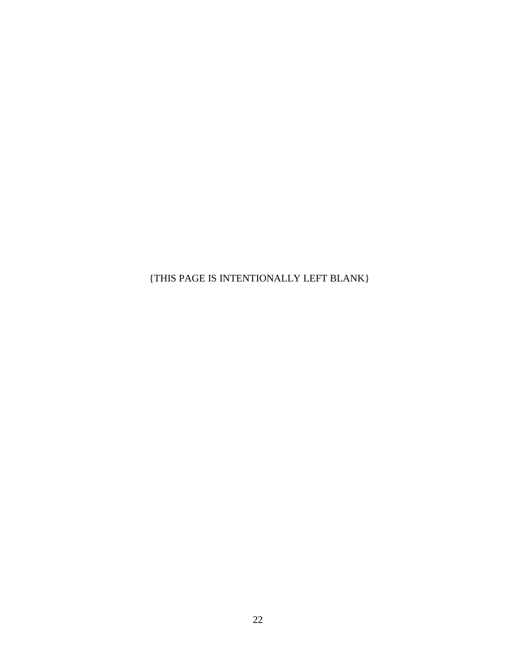{THIS PAGE IS INTENTIONALLY LEFT BLANK}